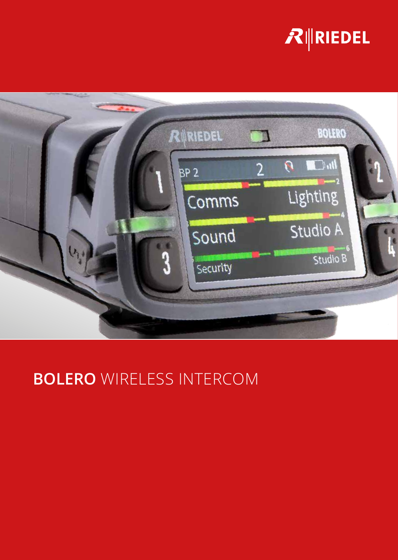## $R$  RIEDEL



## **BOLERO** WIRELESS INTERCOM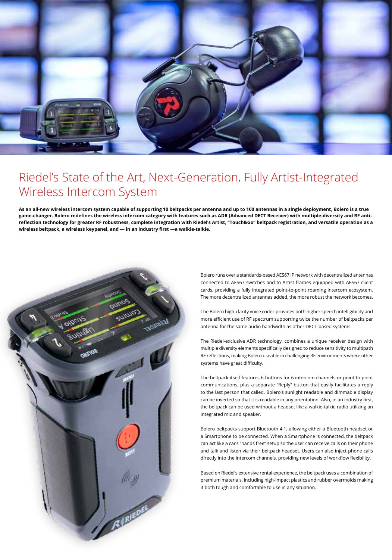

## Riedel's State of the Art, Next-Generation, Fully Artist-Integrated Wireless Intercom System

**As an all-new wireless intercom system capable of supporting 10 beltpacks per antenna and up to 100 antennas in a single deployment, Bolero is a true game-changer. Bolero redefines the wireless intercom category with features such as ADR (Advanced DECT Receiver) with multiple-diversity and RF antireflection technology for greater RF robustness, complete integration with Riedel's Artist, "Touch&Go" beltpack registration, and versatile operation as a wireless beltpack, a wireless keypanel, and — in an industry first —a walkie-talkie.**



Bolero runs over a standards-based AES67 IP network with decentralized antennas connected to AES67 switches and to Artist frames equipped with AES67 client cards, providing a fully integrated point-to-point roaming intercom ecosystem. The more decentralized antennas added, the more robust the network becomes.

The Bolero high-clarity voice codec provides both higher speech intelligibility and more efficient use of RF spectrum supporting twice the number of beltpacks per antenna for the same audio bandwidth as other DECT-based systems.

The Riedel-exclusive ADR technology, combines a unique receiver design with multiple diversity elements specifically designed to reduce sensitivity to multipath RF reflections, making Bolero useable in challenging RF environments where other systems have great difficulty.

The beltpack itself features 6 buttons for 6 intercom channels or point to point communications, plus a separate "Reply" button that easily facilitates a reply to the last person that called. Bolero's sunlight readable and dimmable display can be inverted so that it is readable in any orientation. Also, in an industry first, the beltpack can be used without a headset like a walkie-talkie radio utilizing an integrated mic and speaker.

Bolero beltpacks support Bluetooth 4.1, allowing either a Bluetooth headset or a Smartphone to be connected. When a Smartphone is connected, the beltpack can act like a car's "hands free" setup so the user can receive calls on their phone and talk and listen via their beltpack headset. Users can also inject phone calls directly into the intercom channels, providing new levels of workflow flexibility.

Based on Riedel's extensive rental experience, the beltpack uses a combination of premium materials, including high-impact plastics and rubber overmolds making it both tough and comfortable to use in any situation.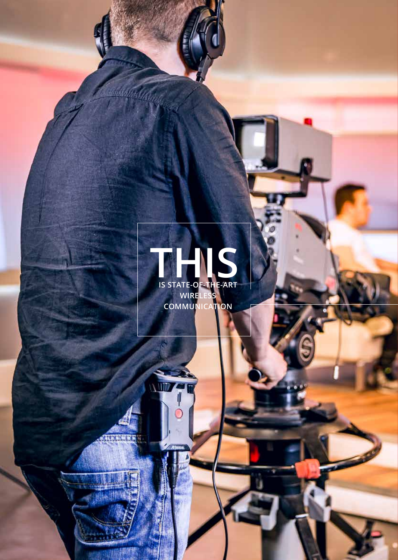## **IS STATE-OF-THE-ART WIRELESS THIS**

**COMMUNICATION**

WINTE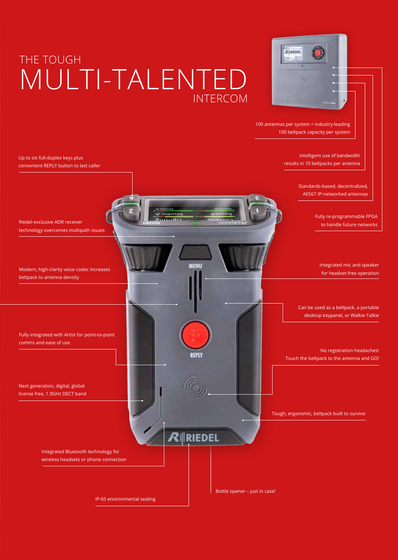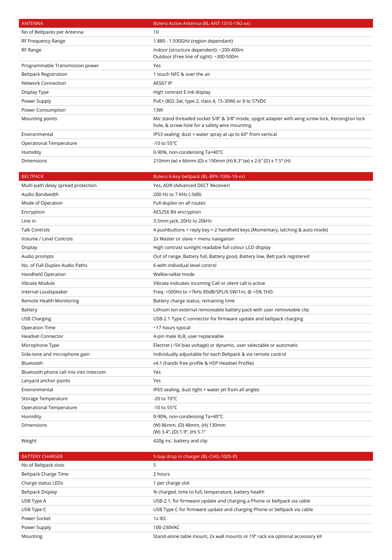| <b>ANTENNA</b>                  | Bolero Active Antenna (BL-ANT-1010-19G-xx)                                                                                                          |
|---------------------------------|-----------------------------------------------------------------------------------------------------------------------------------------------------|
| No of Beltpacks per Antenna     | 10                                                                                                                                                  |
| RF Frequency Range              | 1.880 - 1.930GHz (region dependant)                                                                                                                 |
| RF Range                        | Indoor (structure dependent): ~200-400m<br>Outdoor (Free line of sight): ~300-500m                                                                  |
| Programmable Transmission power | Yes                                                                                                                                                 |
| <b>Beltpack Registration</b>    | 1 touch NFC & over the air                                                                                                                          |
| <b>Network Connection</b>       | AES67 IP                                                                                                                                            |
| Display Type                    | High contrast E-ink display                                                                                                                         |
| Power Supply                    | PoE+ (802.3at, type 2, class 4, 15-30W) or 8 to 57VDC                                                                                               |
| Power Consumption               | 13W                                                                                                                                                 |
| Mounting points                 | Mic stand threaded socket 5/8" & 3/8" inside, spigot adapter with wing screw lock, Kensington lock<br>hole, & screw hole for a safety wire mounting |
| Environmental                   | IP53 sealing; dust + water spray at up to $60^\circ$ from vertical                                                                                  |
| Operational Temperature         | -10 to 55 $\degree$ C                                                                                                                               |
| Humidity                        | 0-90%, non-condensing Ta=40°C                                                                                                                       |
| <b>Dimensions</b>               | 210mm (w) x 66mm (D) x 190mm (H) 8.3" (w) x 2.6" (D) x 7.5" (H)                                                                                     |

| <b>BELTPACK</b>                        | Bolero 6-key beltpack (BL-BPK-1006-19-xx)                                     |
|----------------------------------------|-------------------------------------------------------------------------------|
| Multi-path delay spread protection     | Yes, ADR (Advanced DECT Receiver)                                             |
| Audio Bandwidth                        | 200 Hz to 7 KHz (-3dB)                                                        |
| Mode of Operation                      | Full-duplex on all routes                                                     |
| Encryption                             | AES256 Bit encryption                                                         |
| Line in                                | 3.5mm jack, 20Hz to 20kHz                                                     |
| <b>Talk Controls</b>                   | 4 pushbuttons + reply key + 2 handheld keys (Momentary, latching & auto mode) |
| Volume / Level Controls                | 2x Master or slave + menu navigation                                          |
| Display                                | High contrast sunlight readable full colour LCD display                       |
| Audio prompts                          | Out of range, Battery full, Battery good, Battery low, Belt pack registered   |
| No. of Full-Duplex Audio Paths         | 6 with individual level control                                               |
| Handheld Operation                     | Walkie-talkie mode                                                            |
| Vibrate Module                         | Vibrate indicates incoming Call or silent call is active                      |
| Internal Loudspeaker                   | Freq. <500Hz to >7kHz 80dB/SPL/0.5W/1m, @ <5% THD.                            |
| Remote Health Monitoring               | Battery charge status, remaining time                                         |
| Battery                                | Lithium Ion external removeable battery pack with user removeable clip        |
| <b>USB Charging</b>                    | USB-2.1 Type C connector for firmware update and beltpack charging            |
| <b>Operation Time</b>                  | ~17 hours typical                                                             |
| <b>Headset Connector</b>               | 4-pin male XLR, user replaceable                                              |
| Microphone Type                        | Electret (~5V bias voltage) or dynamic, user selectable or automatic          |
| Side-tone and microphone gain          | Individually adjustable for each Beltpack & via remote control                |
| Bluetooth                              | v4.1 (hands free profile & HSP Headset Profile)                               |
| Bluetooth phone call mix into intercom | Yes                                                                           |
| Lanyard anchor points                  | Yes                                                                           |
| Environmental                          | IP65 sealing, dust tight + water jet from all angles                          |
| Storage Temperature                    | -20 to $70^{\circ}$ C                                                         |
| <b>Operational Temperature</b>         | -10 to $55^{\circ}$ C                                                         |
| Humidity                               | 0-90%, non-condensing Ta=40°C                                                 |
| <b>Dimensions</b>                      | (W) 86mm, (D) 48mm, (H) 130mm<br>(W) 3.4", (D) 1.9", (H) 5.1"                 |
| Weight                                 | 420g inc. battery and clip                                                    |

| <b>BATTERY CHARGER</b> | 5-bay drop in charger (BL-CHG-1005-R)                                          |
|------------------------|--------------------------------------------------------------------------------|
| No of Beltpack slots   | 5                                                                              |
| Beltpack Charge Time   | 2 hours                                                                        |
| Charge status LEDs     | per charge slot                                                                |
| Beltpack Display       | % charged, time to full, temperature, battery health                           |
| USB Type A             | USB-2.1, for firmware update and charging a Phone or beltpack via cable        |
| USB Type C             | USB Type C for firmware update and charging Phone or beltpack via cable        |
| Power Socket           | $1x$ IEC                                                                       |
| Power Supply           | 100-230VAC                                                                     |
| Mounting               | Stand-alone table mount, 2x wall mounts or 19" rack via optional accessory kit |